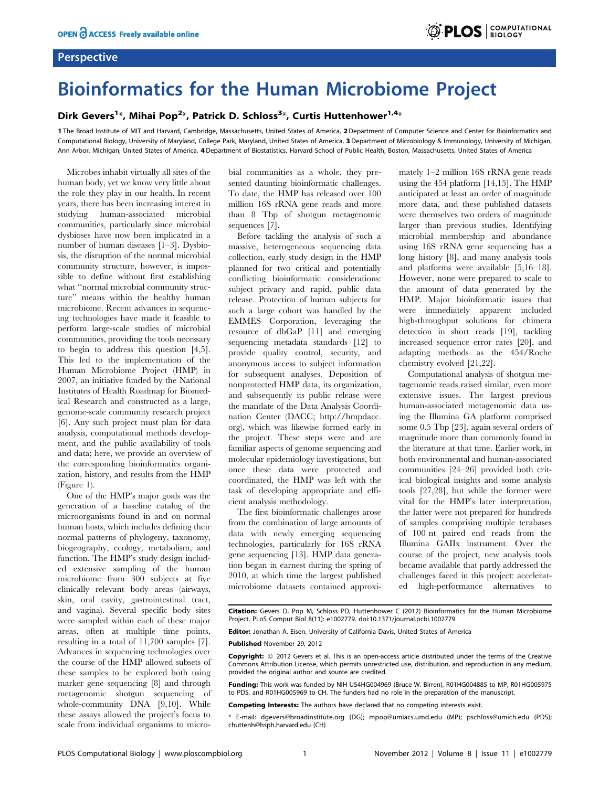#### **Perspective**

# Bioinformatics for the Human Microbiome Project

## Dirk Gevers $^{1*}$ , Mihai Pop $^{2*}$ , Patrick D. Schloss $^{3*}$ , Curtis Huttenhower $^{1,4_{\times}}$

1 The Broad Institute of MIT and Harvard, Cambridge, Massachusetts, United States of America, 2 Department of Computer Science and Center for Bioinformatics and Computational Biology, University of Maryland, College Park, Maryland, United States of America, 3 Department of Microbiology & Immunology, University of Michigan, Ann Arbor, Michigan, United States of America, 4Department of Biostatistics, Harvard School of Public Health, Boston, Massachusetts, United States of America

Microbes inhabit virtually all sites of the human body, yet we know very little about the role they play in our health. In recent years, there has been increasing interest in studying human-associated microbial communities, particularly since microbial dysbioses have now been implicated in a number of human diseases [1–3]. Dysbiosis, the disruption of the normal microbial community structure, however, is impossible to define without first establishing what ''normal microbial community structure'' means within the healthy human microbiome. Recent advances in sequencing technologies have made it feasible to perform large-scale studies of microbial communities, providing the tools necessary to begin to address this question [4,5]. This led to the implementation of the Human Microbiome Project (HMP) in 2007, an initiative funded by the National Institutes of Health Roadmap for Biomedical Research and constructed as a large, genome-scale community research project [6]. Any such project must plan for data analysis, computational methods development, and the public availability of tools and data; here, we provide an overview of the corresponding bioinformatics organization, history, and results from the HMP (Figure 1).

One of the HMP's major goals was the generation of a baseline catalog of the microorganisms found in and on normal human hosts, which includes defining their normal patterns of phylogeny, taxonomy, biogeography, ecology, metabolism, and function. The HMP's study design included extensive sampling of the human microbiome from 300 subjects at five clinically relevant body areas (airways, skin, oral cavity, gastrointestinal tract, and vagina). Several specific body sites were sampled within each of these major areas, often at multiple time points, resulting in a total of 11,700 samples [7]. Advances in sequencing technologies over the course of the HMP allowed subsets of these samples to be explored both using marker gene sequencing [8] and through metagenomic shotgun sequencing of whole-community DNA [9,10]. While these assays allowed the project's focus to scale from individual organisms to microbial communities as a whole, they presented daunting bioinformatic challenges. To date, the HMP has released over 100 million 16S rRNA gene reads and more than 8 Tbp of shotgun metagenomic sequences [7].

Before tackling the analysis of such a massive, heterogeneous sequencing data collection, early study design in the HMP planned for two critical and potentially conflicting bioinformatic considerations: subject privacy and rapid, public data release. Protection of human subjects for such a large cohort was handled by the EMMES Corporation, leveraging the resource of dbGaP [11] and emerging sequencing metadata standards [12] to provide quality control, security, and anonymous access to subject information for subsequent analyses. Deposition of nonprotected HMP data, its organization, and subsequently its public release were the mandate of the Data Analysis Coordination Center (DACC; http://hmpdacc. org), which was likewise formed early in the project. These steps were and are familiar aspects of genome sequencing and molecular epidemiology investigations, but once these data were protected and coordinated, the HMP was left with the task of developing appropriate and efficient analysis methodology.

The first bioinformatic challenges arose from the combination of large amounts of data with newly emerging sequencing technologies, particularly for 16S rRNA gene sequencing [13]. HMP data generation began in earnest during the spring of 2010, at which time the largest published microbiome datasets contained approximately 1–2 million 16S rRNA gene reads using the 454 platform [14,15]. The HMP anticipated at least an order of magnitude more data, and these published datasets were themselves two orders of magnitude larger than previous studies. Identifying microbial membership and abundance using 16S rRNA gene sequencing has a long history [8], and many analysis tools and platforms were available [5,16–18]. However, none were prepared to scale to the amount of data generated by the HMP. Major bioinformatic issues that were immediately apparent included high-throughput solutions for chimera detection in short reads [19], tackling increased sequence error rates [20], and adapting methods as the 454/Roche chemistry evolved [21,22].

Computational analysis of shotgun metagenomic reads raised similar, even more extensive issues. The largest previous human-associated metagenomic data using the Illumina GA platform comprised some 0.5 Tbp [23], again several orders of magnitude more than commonly found in the literature at that time. Earlier work, in both environmental and human-associated communities [24–26] provided both critical biological insights and some analysis tools [27,28], but while the former were vital for the HMP's later interpretation, the latter were not prepared for hundreds of samples comprising multiple terabases of 100 nt paired end reads from the Illumina GAIIx instrument. Over the course of the project, new analysis tools became available that partly addressed the challenges faced in this project: accelerated high-performance alternatives to

Citation: Gevers D, Pop M, Schloss PD, Huttenhower C (2012) Bioinformatics for the Human Microbiome Project. PLoS Comput Biol 8(11): e1002779. doi:10.1371/journal.pcbi.1002779

Editor: Jonathan A. Eisen, University of California Davis, United States of America

Published November 29, 2012

Copyright: © 2012 Gevers et al. This is an open-access article distributed under the terms of the Creative Commons Attribution License, which permits unrestricted use, distribution, and reproduction in any medium, provided the original author and source are credited.

Funding: This work was funded by NIH U54HG004969 (Bruce W. Birren), R01HG004885 to MP, R01HG005975 to PDS, and R01HG005969 to CH. The funders had no role in the preparation of the manuscript.

Competing Interests: The authors have declared that no competing interests exist.

\* E-mail: dgevers@broadinstitute.org (DG); mpop@umiacs.umd.edu (MP); pschloss@umich.edu (PDS); chuttenh@hsph.harvard.edu (CH)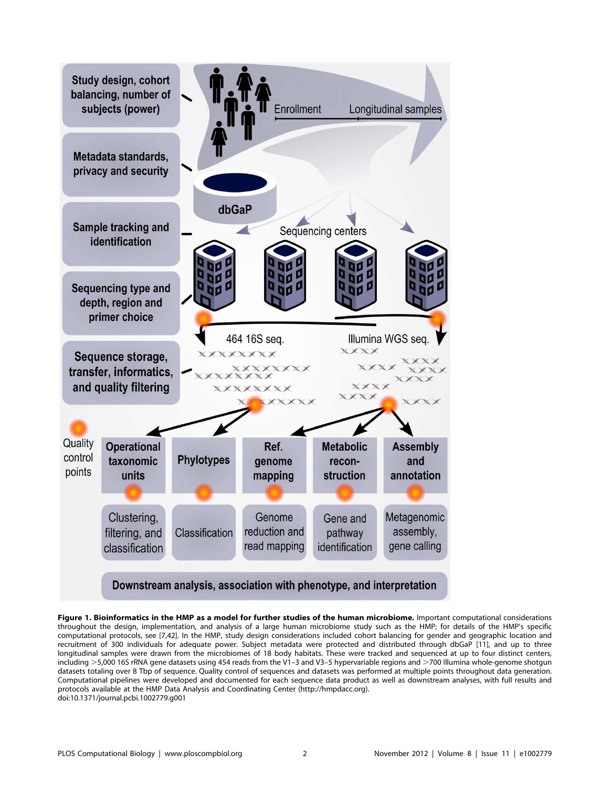

Figure 1. Bioinformatics in the HMP as a model for further studies of the human microbiome. Important computational considerations throughout the design, implementation, and analysis of a large human microbiome study such as the HMP; for details of the HMP's specific computational protocols, see [7,42]. In the HMP, study design considerations included cohort balancing for gender and geographic location and recruitment of 300 individuals for adequate power. Subject metadata were protected and distributed through dbGaP [11], and up to three longitudinal samples were drawn from the microbiomes of 18 body habitats. These were tracked and sequenced at up to four distinct centers, including >5,000 16S rRNA gene datasets using 454 reads from the V1-3 and V3-5 hypervariable regions and >700 Illumina whole-genome shotgun datasets totaling over 8 Tbp of sequence. Quality control of sequences and datasets was performed at multiple points throughout data generation. Computational pipelines were developed and documented for each sequence data product as well as downstream analyses, with full results and protocols available at the HMP Data Analysis and Coordinating Center (http://hmpdacc.org). doi:10.1371/journal.pcbi.1002779.g001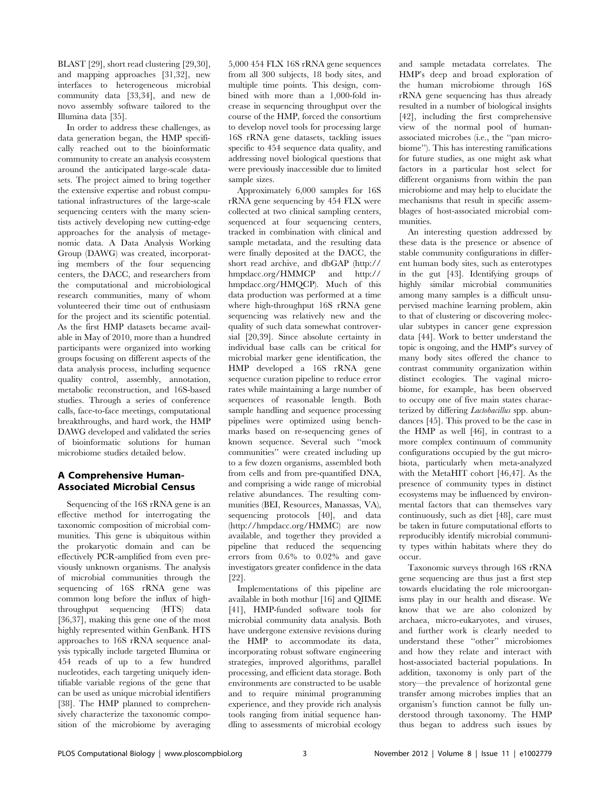BLAST [29], short read clustering [29,30], and mapping approaches [31,32], new interfaces to heterogeneous microbial community data [33,34], and new de novo assembly software tailored to the Illumina data [35].

In order to address these challenges, as data generation began, the HMP specifically reached out to the bioinformatic community to create an analysis ecosystem around the anticipated large-scale datasets. The project aimed to bring together the extensive expertise and robust computational infrastructures of the large-scale sequencing centers with the many scientists actively developing new cutting-edge approaches for the analysis of metagenomic data. A Data Analysis Working Group (DAWG) was created, incorporating members of the four sequencing centers, the DACC, and researchers from the computational and microbiological research communities, many of whom volunteered their time out of enthusiasm for the project and its scientific potential. As the first HMP datasets became available in May of 2010, more than a hundred participants were organized into working groups focusing on different aspects of the data analysis process, including sequence quality control, assembly, annotation, metabolic reconstruction, and 16S-based studies. Through a series of conference calls, face-to-face meetings, computational breakthroughs, and hard work, the HMP DAWG developed and validated the series of bioinformatic solutions for human microbiome studies detailed below.

### A Comprehensive Human-Associated Microbial Census

Sequencing of the 16S rRNA gene is an effective method for interrogating the taxonomic composition of microbial communities. This gene is ubiquitous within the prokaryotic domain and can be effectively PCR-amplified from even previously unknown organisms. The analysis of microbial communities through the sequencing of 16S rRNA gene was common long before the influx of highthroughput sequencing (HTS) data [36,37], making this gene one of the most highly represented within GenBank. HTS approaches to 16S rRNA sequence analysis typically include targeted Illumina or 454 reads of up to a few hundred nucleotides, each targeting uniquely identifiable variable regions of the gene that can be used as unique microbial identifiers [38]. The HMP planned to comprehensively characterize the taxonomic composition of the microbiome by averaging 5,000 454 FLX 16S rRNA gene sequences from all 300 subjects, 18 body sites, and multiple time points. This design, combined with more than a 1,000-fold increase in sequencing throughput over the course of the HMP, forced the consortium to develop novel tools for processing large 16S rRNA gene datasets, tackling issues specific to 454 sequence data quality, and addressing novel biological questions that were previously inaccessible due to limited sample sizes.

Approximately 6,000 samples for 16S rRNA gene sequencing by 454 FLX were collected at two clinical sampling centers, sequenced at four sequencing centers, tracked in combination with clinical and sample metadata, and the resulting data were finally deposited at the DACC, the short read archive, and dbGAP (http:// hmpdacc.org/HMMCP and http:// hmpdacc.org/HMQCP). Much of this data production was performed at a time where high-throughput 16S rRNA gene sequencing was relatively new and the quality of such data somewhat controversial [20,39]. Since absolute certainty in individual base calls can be critical for microbial marker gene identification, the HMP developed a 16S rRNA gene sequence curation pipeline to reduce error rates while maintaining a large number of sequences of reasonable length. Both sample handling and sequence processing pipelines were optimized using benchmarks based on re-sequencing genes of known sequence. Several such ''mock communities'' were created including up to a few dozen organisms, assembled both from cells and from pre-quantified DNA, and comprising a wide range of microbial relative abundances. The resulting communities (BEI, Resources, Manassas, VA), sequencing protocols [40], and data (http://hmpdacc.org/HMMC) are now available, and together they provided a pipeline that reduced the sequencing errors from 0.6% to 0.02% and gave investigators greater confidence in the data [22].

Implementations of this pipeline are available in both mothur [16] and QIIME [41], HMP-funded software tools for microbial community data analysis. Both have undergone extensive revisions during the HMP to accommodate its data, incorporating robust software engineering strategies, improved algorithms, parallel processing, and efficient data storage. Both environments are constructed to be usable and to require minimal programming experience, and they provide rich analysis tools ranging from initial sequence handling to assessments of microbial ecology

and sample metadata correlates. The HMP's deep and broad exploration of the human microbiome through 16S rRNA gene sequencing has thus already resulted in a number of biological insights [42], including the first comprehensive view of the normal pool of humanassociated microbes (i.e., the ''pan microbiome''). This has interesting ramifications for future studies, as one might ask what factors in a particular host select for different organisms from within the pan microbiome and may help to elucidate the mechanisms that result in specific assemblages of host-associated microbial communities.

An interesting question addressed by these data is the presence or absence of stable community configurations in different human body sites, such as enterotypes in the gut [43]. Identifying groups of highly similar microbial communities among many samples is a difficult unsupervised machine learning problem, akin to that of clustering or discovering molecular subtypes in cancer gene expression data [44]. Work to better understand the topic is ongoing, and the HMP's survey of many body sites offered the chance to contrast community organization within distinct ecologies. The vaginal microbiome, for example, has been observed to occupy one of five main states characterized by differing Lactobacillus spp. abundances [45]. This proved to be the case in the HMP as well [46], in contrast to a more complex continuum of community configurations occupied by the gut microbiota, particularly when meta-analyzed with the MetaHIT cohort [46,47]. As the presence of community types in distinct ecosystems may be influenced by environmental factors that can themselves vary continuously, such as diet [48], care must be taken in future computational efforts to reproducibly identify microbial community types within habitats where they do occur.

Taxonomic surveys through 16S rRNA gene sequencing are thus just a first step towards elucidating the role microorganisms play in our health and disease. We know that we are also colonized by archaea, micro-eukaryotes, and viruses, and further work is clearly needed to understand these ''other'' microbiomes and how they relate and interact with host-associated bacterial populations. In addition, taxonomy is only part of the story—the prevalence of horizontal gene transfer among microbes implies that an organism's function cannot be fully understood through taxonomy. The HMP thus began to address such issues by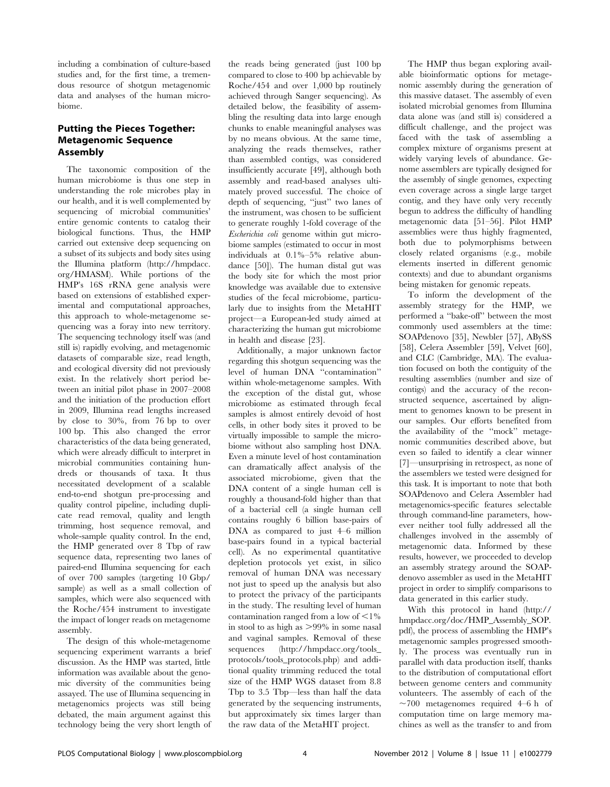including a combination of culture-based studies and, for the first time, a tremendous resource of shotgun metagenomic data and analyses of the human microbiome.

### Putting the Pieces Together: Metagenomic Sequence Assembly

The taxonomic composition of the human microbiome is thus one step in understanding the role microbes play in our health, and it is well complemented by sequencing of microbial communities' entire genomic contents to catalog their biological functions. Thus, the HMP carried out extensive deep sequencing on a subset of its subjects and body sites using the Illumina platform (http://hmpdacc. org/HMASM). While portions of the HMP's 16S rRNA gene analysis were based on extensions of established experimental and computational approaches, this approach to whole-metagenome sequencing was a foray into new territory. The sequencing technology itself was (and still is) rapidly evolving, and metagenomic datasets of comparable size, read length, and ecological diversity did not previously exist. In the relatively short period between an initial pilot phase in 2007–2008 and the initiation of the production effort in 2009, Illumina read lengths increased by close to 30%, from 76 bp to over 100 bp. This also changed the error characteristics of the data being generated, which were already difficult to interpret in microbial communities containing hundreds or thousands of taxa. It thus necessitated development of a scalable end-to-end shotgun pre-processing and quality control pipeline, including duplicate read removal, quality and length trimming, host sequence removal, and whole-sample quality control. In the end, the HMP generated over 8 Tbp of raw sequence data, representing two lanes of paired-end Illumina sequencing for each of over 700 samples (targeting 10 Gbp/ sample) as well as a small collection of samples, which were also sequenced with the Roche/454 instrument to investigate the impact of longer reads on metagenome assembly.

The design of this whole-metagenome sequencing experiment warrants a brief discussion. As the HMP was started, little information was available about the genomic diversity of the communities being assayed. The use of Illumina sequencing in metagenomics projects was still being debated, the main argument against this technology being the very short length of the reads being generated (just 100 bp compared to close to 400 bp achievable by Roche/454 and over 1,000 bp routinely achieved through Sanger sequencing). As detailed below, the feasibility of assembling the resulting data into large enough chunks to enable meaningful analyses was by no means obvious. At the same time, analyzing the reads themselves, rather than assembled contigs, was considered insufficiently accurate [49], although both assembly and read-based analyses ultimately proved successful. The choice of depth of sequencing, ''just'' two lanes of the instrument, was chosen to be sufficient to generate roughly 1-fold coverage of the Escherichia coli genome within gut microbiome samples (estimated to occur in most individuals at 0.1%–5% relative abundance [50]). The human distal gut was the body site for which the most prior knowledge was available due to extensive studies of the fecal microbiome, particularly due to insights from the MetaHIT project—a European-led study aimed at characterizing the human gut microbiome in health and disease [23].

Additionally, a major unknown factor regarding this shotgun sequencing was the level of human DNA ''contamination'' within whole-metagenome samples. With the exception of the distal gut, whose microbiome as estimated through fecal samples is almost entirely devoid of host cells, in other body sites it proved to be virtually impossible to sample the microbiome without also sampling host DNA. Even a minute level of host contamination can dramatically affect analysis of the associated microbiome, given that the DNA content of a single human cell is roughly a thousand-fold higher than that of a bacterial cell (a single human cell contains roughly 6 billion base-pairs of DNA as compared to just 4–6 million base-pairs found in a typical bacterial cell). As no experimental quantitative depletion protocols yet exist, in silico removal of human DNA was necessary not just to speed up the analysis but also to protect the privacy of the participants in the study. The resulting level of human contamination ranged from a low of  $\leq 1\%$ in stool to as high as  $>99\%$  in some nasal and vaginal samples. Removal of these sequences (http://hmpdacc.org/tools\_ protocols/tools\_protocols.php) and additional quality trimming reduced the total size of the HMP WGS dataset from 8.8 Tbp to 3.5 Tbp—less than half the data generated by the sequencing instruments, but approximately six times larger than the raw data of the MetaHIT project.

The HMP thus began exploring available bioinformatic options for metagenomic assembly during the generation of this massive dataset. The assembly of even isolated microbial genomes from Illumina data alone was (and still is) considered a difficult challenge, and the project was faced with the task of assembling a complex mixture of organisms present at widely varying levels of abundance. Genome assemblers are typically designed for the assembly of single genomes, expecting even coverage across a single large target contig, and they have only very recently begun to address the difficulty of handling metagenomic data [51–56]. Pilot HMP assemblies were thus highly fragmented, both due to polymorphisms between closely related organisms (e.g., mobile elements inserted in different genomic contexts) and due to abundant organisms being mistaken for genomic repeats.

To inform the development of the assembly strategy for the HMP, we performed a ''bake-off'' between the most commonly used assemblers at the time: SOAPdenovo [35], Newbler [57], ABySS [58], Celera Assembler [59], Velvet [60], and CLC (Cambridge, MA). The evaluation focused on both the contiguity of the resulting assemblies (number and size of contigs) and the accuracy of the reconstructed sequence, ascertained by alignment to genomes known to be present in our samples. Our efforts benefited from the availability of the ''mock'' metagenomic communities described above, but even so failed to identify a clear winner [7]—unsurprising in retrospect, as none of the assemblers we tested were designed for this task. It is important to note that both SOAPdenovo and Celera Assembler had metagenomics-specific features selectable through command-line parameters, however neither tool fully addressed all the challenges involved in the assembly of metagenomic data. Informed by these results, however, we proceeded to develop an assembly strategy around the SOAPdenovo assembler as used in the MetaHIT project in order to simplify comparisons to data generated in this earlier study.

With this protocol in hand (http:// hmpdacc.org/doc/HMP\_Assembly\_SOP. pdf), the process of assembling the HMP's metagenomic samples progressed smoothly. The process was eventually run in parallel with data production itself, thanks to the distribution of computational effort between genome centers and community volunteers. The assembly of each of the  $\sim$ 700 metagenomes required 4–6 h of computation time on large memory machines as well as the transfer to and from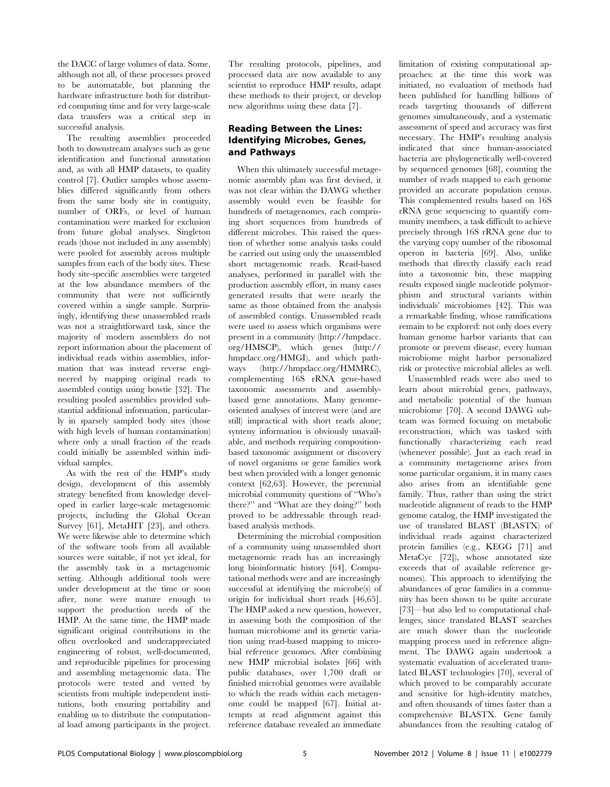the DACC of large volumes of data. Some, although not all, of these processes proved to be automatable, but planning the hardware infrastructure both for distributed computing time and for very large-scale data transfers was a critical step in successful analysis.

The resulting assemblies proceeded both to downstream analyses such as gene identification and functional annotation and, as with all HMP datasets, to quality control [7]. Outlier samples whose assemblies differed significantly from others from the same body site in contiguity, number of ORFs, or level of human contamination were marked for exclusion from future global analyses. Singleton reads (those not included in any assembly) were pooled for assembly across multiple samples from each of the body sites. These body site-specific assemblies were targeted at the low abundance members of the community that were not sufficiently covered within a single sample. Surprisingly, identifying these unassembled reads was not a straightforward task, since the majority of modern assemblers do not report information about the placement of individual reads within assemblies, information that was instead reverse engineered by mapping original reads to assembled contigs using bowtie [32]. The resulting pooled assemblies provided substantial additional information, particularly in sparsely sampled body sites (those with high levels of human contamination) where only a small fraction of the reads could initially be assembled within individual samples.

As with the rest of the HMP's study design, development of this assembly strategy benefited from knowledge developed in earlier large-scale metagenomic projects, including the Global Ocean Survey [61], MetaHIT [23], and others. We were likewise able to determine which of the software tools from all available sources were suitable, if not yet ideal, for the assembly task in a metagenomic setting. Although additional tools were under development at the time or soon after, none were mature enough to support the production needs of the HMP. At the same time, the HMP made significant original contributions in the often overlooked and underappreciated engineering of robust, well-documented, and reproducible pipelines for processing and assembling metagenomic data. The protocols were tested and vetted by scientists from multiple independent institutions, both ensuring portability and enabling us to distribute the computational load among participants in the project. The resulting protocols, pipelines, and processed data are now available to any scientist to reproduce HMP results, adapt these methods to their project, or develop new algorithms using these data [7].

### Reading Between the Lines: Identifying Microbes, Genes, and Pathways

When this ultimately successful metagenomic assembly plan was first devised, it was not clear within the DAWG whether assembly would even be feasible for hundreds of metagenomes, each comprising short sequences from hundreds of different microbes. This raised the question of whether some analysis tasks could be carried out using only the unassembled short metagenomic reads. Read-based analyses, performed in parallel with the production assembly effort, in many cases generated results that were nearly the same as those obtained from the analysis of assembled contigs. Unassembled reads were used to assess which organisms were present in a community (http://hmpdacc. org/HMSCP), which genes (http:// hmpdacc.org/HMGI), and which pathways (http://hmpdacc.org/HMMRC), complementing 16S rRNA gene-based taxonomic assessments and assemblybased gene annotations. Many genomeoriented analyses of interest were (and are still) impractical with short reads alone; synteny information is obviously unavailable, and methods requiring compositionbased taxonomic assignment or discovery of novel organisms or gene families work best when provided with a longer genomic context [62,63]. However, the perennial microbial community questions of ''Who's there?'' and ''What are they doing?'' both proved to be addressable through readbased analysis methods.

Determining the microbial composition of a community using unassembled short metagenomic reads has an increasingly long bioinformatic history [64]. Computational methods were and are increasingly successful at identifying the microbe(s) of origin for individual short reads [46,65]. The HMP asked a new question, however, in assessing both the composition of the human microbiome and its genetic variation using read-based mapping to microbial reference genomes. After combining new HMP microbial isolates [66] with public databases, over 1,700 draft or finished microbial genomes were available to which the reads within each metagenome could be mapped [67]. Initial attempts at read alignment against this reference database revealed an immediate

limitation of existing computational approaches: at the time this work was initiated, no evaluation of methods had been published for handling billions of reads targeting thousands of different genomes simultaneously, and a systematic assessment of speed and accuracy was first necessary. The HMP's resulting analysis indicated that since human-associated bacteria are phylogenetically well-covered by sequenced genomes [68], counting the number of reads mapped to each genome provided an accurate population census. This complemented results based on 16S rRNA gene sequencing to quantify community members, a task difficult to achieve precisely through 16S rRNA gene due to the varying copy number of the ribosomal operon in bacteria [69]. Also, unlike methods that directly classify each read into a taxonomic bin, these mapping results exposed single nucleotide polymorphism and structural variants within individuals' microbiomes [42]. This was a remarkable finding, whose ramifications remain to be explored: not only does every human genome harbor variants that can promote or prevent disease, every human microbiome might harbor personalized risk or protective microbial alleles as well.

Unassembled reads were also used to learn about microbial genes, pathways, and metabolic potential of the human microbiome [70]. A second DAWG subteam was formed focusing on metabolic reconstruction, which was tasked with functionally characterizing each read (whenever possible). Just as each read in a community metagenome arises from some particular organism, it in many cases also arises from an identifiable gene family. Thus, rather than using the strict nucleotide alignment of reads to the HMP genome catalog, the HMP investigated the use of translated BLAST (BLASTX) of individual reads against characterized protein families (e.g., KEGG [71] and MetaCyc [72]), whose annotated size exceeds that of available reference genomes). This approach to identifying the abundances of gene families in a community has been shown to be quite accurate [73]—but also led to computational challenges, since translated BLAST searches are much slower than the nucleotide mapping process used in reference alignment. The DAWG again undertook a systematic evaluation of accelerated translated BLAST technologies [70], several of which proved to be comparably accurate and sensitive for high-identity matches, and often thousands of times faster than a comprehensive BLASTX. Gene family abundances from the resulting catalog of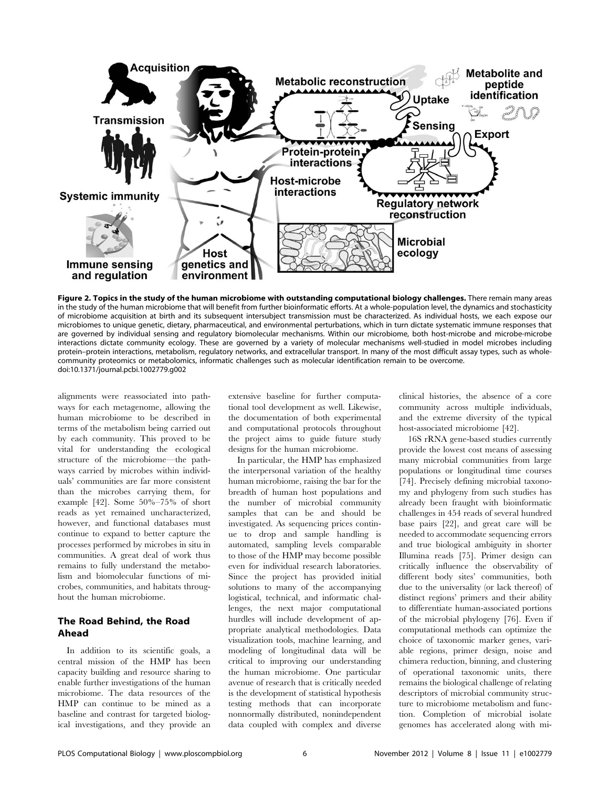

Figure 2. Topics in the study of the human microbiome with outstanding computational biology challenges. There remain many areas in the study of the human microbiome that will benefit from further bioinformatic efforts. At a whole-population level, the dynamics and stochasticity of microbiome acquisition at birth and its subsequent intersubject transmission must be characterized. As individual hosts, we each expose our microbiomes to unique genetic, dietary, pharmaceutical, and environmental perturbations, which in turn dictate systematic immune responses that are governed by individual sensing and regulatory biomolecular mechanisms. Within our microbiome, both host-microbe and microbe-microbe interactions dictate community ecology. These are governed by a variety of molecular mechanisms well-studied in model microbes including protein–protein interactions, metabolism, regulatory networks, and extracellular transport. In many of the most difficult assay types, such as wholecommunity proteomics or metabolomics, informatic challenges such as molecular identification remain to be overcome. doi:10.1371/journal.pcbi.1002779.g002

alignments were reassociated into pathways for each metagenome, allowing the human microbiome to be described in terms of the metabolism being carried out by each community. This proved to be vital for understanding the ecological structure of the microbiome—the pathways carried by microbes within individuals' communities are far more consistent than the microbes carrying them, for example [42]. Some 50%–75% of short reads as yet remained uncharacterized, however, and functional databases must continue to expand to better capture the processes performed by microbes in situ in communities. A great deal of work thus remains to fully understand the metabolism and biomolecular functions of microbes, communities, and habitats throughout the human microbiome.

#### The Road Behind, the Road Ahead

In addition to its scientific goals, a central mission of the HMP has been capacity building and resource sharing to enable further investigations of the human microbiome. The data resources of the HMP can continue to be mined as a baseline and contrast for targeted biological investigations, and they provide an extensive baseline for further computational tool development as well. Likewise, the documentation of both experimental and computational protocols throughout the project aims to guide future study designs for the human microbiome.

In particular, the HMP has emphasized the interpersonal variation of the healthy human microbiome, raising the bar for the breadth of human host populations and the number of microbial community samples that can be and should be investigated. As sequencing prices continue to drop and sample handling is automated, sampling levels comparable to those of the HMP may become possible even for individual research laboratories. Since the project has provided initial solutions to many of the accompanying logistical, technical, and informatic challenges, the next major computational hurdles will include development of appropriate analytical methodologies. Data visualization tools, machine learning, and modeling of longitudinal data will be critical to improving our understanding the human microbiome. One particular avenue of research that is critically needed is the development of statistical hypothesis testing methods that can incorporate nonnormally distributed, nonindependent data coupled with complex and diverse

clinical histories, the absence of a core community across multiple individuals, and the extreme diversity of the typical host-associated microbiome [42].

16S rRNA gene-based studies currently provide the lowest cost means of assessing many microbial communities from large populations or longitudinal time courses [74]. Precisely defining microbial taxonomy and phylogeny from such studies has already been fraught with bioinformatic challenges in 454 reads of several hundred base pairs [22], and great care will be needed to accommodate sequencing errors and true biological ambiguity in shorter Illumina reads [75]. Primer design can critically influence the observability of different body sites' communities, both due to the universality (or lack thereof) of distinct regions' primers and their ability to differentiate human-associated portions of the microbial phylogeny [76]. Even if computational methods can optimize the choice of taxonomic marker genes, variable regions, primer design, noise and chimera reduction, binning, and clustering of operational taxonomic units, there remains the biological challenge of relating descriptors of microbial community structure to microbiome metabolism and function. Completion of microbial isolate genomes has accelerated along with mi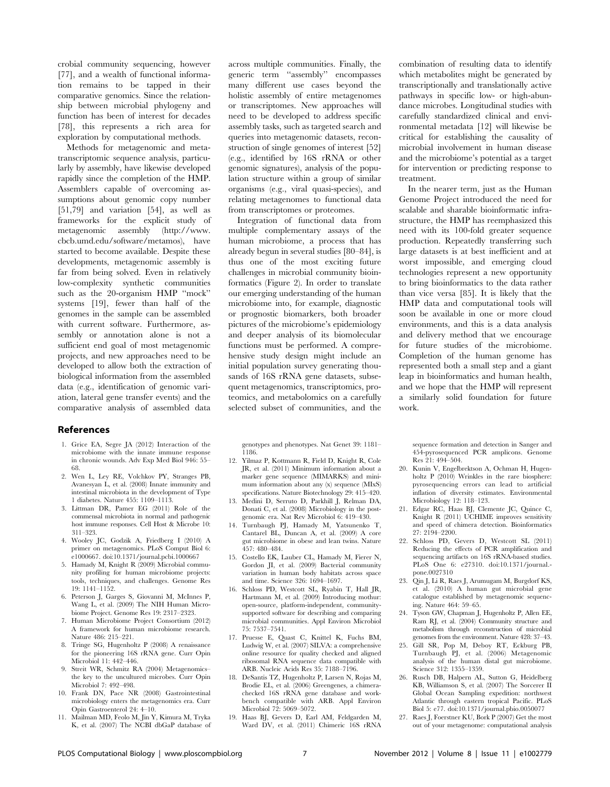crobial community sequencing, however [77], and a wealth of functional information remains to be tapped in their comparative genomics. Since the relationship between microbial phylogeny and function has been of interest for decades [78], this represents a rich area for exploration by computational methods.

Methods for metagenomic and metatranscriptomic sequence analysis, particularly by assembly, have likewise developed rapidly since the completion of the HMP. Assemblers capable of overcoming assumptions about genomic copy number [51,79] and variation [54], as well as frameworks for the explicit study of metagenomic assembly (http://www. cbcb.umd.edu/software/metamos), have started to become available. Despite these developments, metagenomic assembly is far from being solved. Even in relatively low-complexity synthetic communities such as the 20-organism HMP ''mock'' systems [19], fewer than half of the genomes in the sample can be assembled with current software. Furthermore, assembly or annotation alone is not a sufficient end goal of most metagenomic projects, and new approaches need to be developed to allow both the extraction of biological information from the assembled data (e.g., identification of genomic variation, lateral gene transfer events) and the comparative analysis of assembled data

#### References

- 1. Grice EA, Segre JA (2012) Interaction of the microbiome with the innate immune response in chronic wounds. Adv Exp Med Biol 946: 55– 68.
- 2. Wen L, Ley RE, Volchkov PY, Stranges PB, Avanesyan L, et al. (2008) Innate immunity and intestinal microbiota in the development of Type 1 diabetes. Nature 455: 1109–1113.
- 3. Littman DR, Pamer EG (2011) Role of the commensal microbiota in normal and pathogenic host immune responses. Cell Host & Microbe 10: 311–323.
- 4. Wooley JC, Godzik A, Friedberg I (2010) A primer on metagenomics. PLoS Comput Biol 6: e1000667. doi:10.1371/journal.pcbi.1000667
- 5. Hamady M, Knight R (2009) Microbial community profiling for human microbiome projects: tools, techniques, and challenges. Genome Res 19: 1141–1152.
- 6. Peterson J, Garges S, Giovanni M, McInnes P, Wang L, et al. (2009) The NIH Human Microbiome Project. Genome Res 19: 2317–2323.
- 7. Human Microbiome Project Consortium (2012) A framework for human microbiome research. Nature 486: 215–221.
- 8. Tringe SG, Hugenholtz P (2008) A renaissance for the pioneering 16S rRNA gene. Curr Opin Microbiol 11: 442–446.
- 9. Streit WR, Schmitz RA (2004) Metagenomics– the key to the uncultured microbes. Curr Opin Microbiol 7: 492–498.
- 10. Frank DN, Pace NR (2008) Gastrointestinal microbiology enters the metagenomics era. Curr Opin Gastroenterol 24: 4–10.
- 11. Mailman MD, Feolo M, Jin Y, Kimura M, Tryka K, et al. (2007) The NCBI dbGaP database of

across multiple communities. Finally, the generic term ''assembly'' encompasses many different use cases beyond the holistic assembly of entire metagenomes or transcriptomes. New approaches will need to be developed to address specific assembly tasks, such as targeted search and queries into metagenomic datasets, reconstruction of single genomes of interest [52] (e.g., identified by 16S rRNA or other genomic signatures), analysis of the population structure within a group of similar organisms (e.g., viral quasi-species), and relating metagenomes to functional data from transcriptomes or proteomes.

Integration of functional data from multiple complementary assays of the human microbiome, a process that has already begun in several studies [80–84], is thus one of the most exciting future challenges in microbial community bioinformatics (Figure 2). In order to translate our emerging understanding of the human microbiome into, for example, diagnostic or prognostic biomarkers, both broader pictures of the microbiome's epidemiology and deeper analysis of its biomolecular functions must be performed. A comprehensive study design might include an initial population survey generating thousands of 16S rRNA gene datasets, subsequent metagenomics, transcriptomics, proteomics, and metabolomics on a carefully selected subset of communities, and the

genotypes and phenotypes. Nat Genet 39: 1181– 1186.

- 12. Yilmaz P, Kottmann R, Field D, Knight R, Cole JR, et al. (2011) Minimum information about a marker gene sequence (MIMARKS) and minimum information about any (x) sequence (MIxS) specifications. Nature Biotechnology 29: 415–420.
- 13. Medini D, Serruto D, Parkhill J, Relman DA, Donati C, et al. (2008) Microbiology in the postgenomic era. Nat Rev Microbiol 6: 419–430.
- 14. Turnbaugh PJ, Hamady M, Yatsunenko T, Cantarel BL, Duncan A, et al. (2009) A core gut microbiome in obese and lean twins. Nature 457: 480–484.
- 15. Costello EK, Lauber CL, Hamady M, Fierer N, Gordon JI, et al. (2009) Bacterial community variation in human body habitats across space and time. Science 326: 1694–1697.
- 16. Schloss PD, Westcott SL, Ryabin T, Hall JR, Hartmann M, et al. (2009) Introducing mothur: open-source, platform-independent, communitysupported software for describing and comparing microbial communities. Appl Environ Microbiol 75: 7537–7541.
- 17. Pruesse E, Quast C, Knittel K, Fuchs BM, Ludwig W, et al. (2007) SILVA: a comprehensive online resource for quality checked and aligned ribosomal RNA sequence data compatible with ARB. Nucleic Acids Res 35: 7188–7196.
- 18. DeSantis TZ, Hugenholtz P, Larsen N, Rojas M, Brodie EL, et al. (2006) Greengenes, a chimerachecked 16S rRNA gene database and workbench compatible with ARB. Appl Environ Microbiol 72: 5069–5072.
- 19. Haas BJ, Gevers D, Earl AM, Feldgarden M, Ward DV, et al. (2011) Chimeric 16S rRNA

combination of resulting data to identify which metabolites might be generated by transcriptionally and translationally active pathways in specific low- or high-abundance microbes. Longitudinal studies with carefully standardized clinical and environmental metadata [12] will likewise be critical for establishing the causality of microbial involvement in human disease and the microbiome's potential as a target for intervention or predicting response to treatment.

In the nearer term, just as the Human Genome Project introduced the need for scalable and sharable bioinformatic infrastructure, the HMP has reemphasized this need with its 100-fold greater sequence production. Repeatedly transferring such large datasets is at best inefficient and at worst impossible, and emerging cloud technologies represent a new opportunity to bring bioinformatics to the data rather than vice versa [85]. It is likely that the HMP data and computational tools will soon be available in one or more cloud environments, and this is a data analysis and delivery method that we encourage for future studies of the microbiome. Completion of the human genome has represented both a small step and a giant leap in bioinformatics and human health, and we hope that the HMP will represent a similarly solid foundation for future work.

sequence formation and detection in Sanger and 454-pyrosequenced PCR amplicons. Genome  $R_{es}$  21: 494–504.

- 20. Kunin V, Engelbrektson A, Ochman H, Hugenholtz P (2010) Wrinkles in the rare biosphere: pyrosequencing errors can lead to artificial inflation of diversity estimates. Environmental Microbiology 12: 118–123.
- 21. Edgar RC, Haas BJ, Clemente JC, Quince C, Knight R (2011) UCHIME improves sensitivity and speed of chimera detection. Bioinformatics 27: 2194–2200.
- 22. Schloss PD, Gevers D, Westcott SL (2011) Reducing the effects of PCR amplification and sequencing artifacts on 16S rRNA-based studies. PLoS One 6: e27310. doi:10.1371/journal. pone.0027310
- 23. Qin J, Li R, Raes J, Arumugam M, Burgdorf KS, et al. (2010) A human gut microbial gene catalogue established by metagenomic sequencing. Nature 464: 59–65.
- 24. Tyson GW, Chapman J, Hugenholtz P, Allen EE, Ram RJ, et al. (2004) Community structure and metabolism through reconstruction of microbial genomes from the environment. Nature 428: 37–43.
- 25. Gill SR, Pop M, Deboy RT, Eckburg PB, Turnbaugh PJ, et al. (2006) Metagenomic analysis of the human distal gut microbiome. Science 312: 1355–1359.
- 26. Rusch DB, Halpern AL, Sutton G, Heidelberg KB, Williamson S, et al. (2007) The Sorcerer II Global Ocean Sampling expedition: northwest Atlantic through eastern tropical Pacific. PLoS Biol 5: e77. doi:10.1371/journal.pbio.0050077
- 27. Raes J, Foerstner KU, Bork P (2007) Get the most out of your metagenome: computational analysis